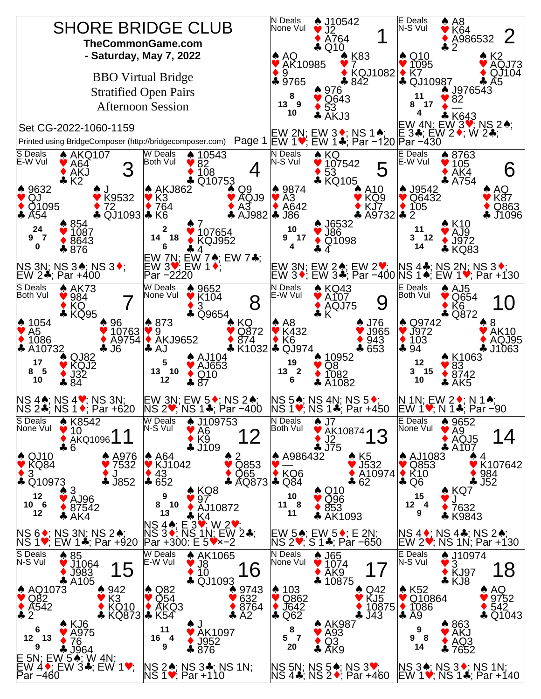